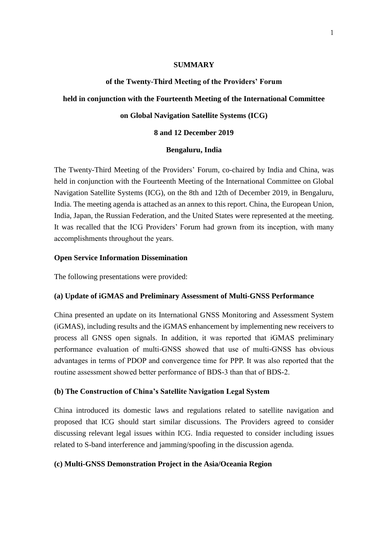#### **SUMMARY**

#### **of the Twenty-Third Meeting of the Providers' Forum**

### **held in conjunction with the Fourteenth Meeting of the International Committee**

#### **on Global Navigation Satellite Systems (ICG)**

#### **8 and 12 December 2019**

#### **Bengaluru, India**

The Twenty-Third Meeting of the Providers' Forum, co-chaired by India and China, was held in conjunction with the Fourteenth Meeting of the International Committee on Global Navigation Satellite Systems (ICG), on the 8th and 12th of December 2019, in Bengaluru, India. The meeting agenda is attached as an annex to this report. China, the European Union, India, Japan, the Russian Federation, and the United States were represented at the meeting. It was recalled that the ICG Providers' Forum had grown from its inception, with many accomplishments throughout the years.

### **Open Service Information Dissemination**

The following presentations were provided:

#### **(a) Update of iGMAS and Preliminary Assessment of Multi-GNSS Performance**

China presented an update on its International GNSS Monitoring and Assessment System (iGMAS), including results and the iGMAS enhancement by implementing new receivers to process all GNSS open signals. In addition, it was reported that iGMAS preliminary performance evaluation of multi-GNSS showed that use of multi-GNSS has obvious advantages in terms of PDOP and convergence time for PPP. It was also reported that the routine assessment showed better performance of BDS-3 than that of BDS-2.

## **(b) The Construction of China's Satellite Navigation Legal System**

China introduced its domestic laws and regulations related to satellite navigation and proposed that ICG should start similar discussions. The Providers agreed to consider discussing relevant legal issues within ICG. India requested to consider including issues related to S-band interference and jamming/spoofing in the discussion agenda.

## **(c) Multi-GNSS Demonstration Project in the Asia/Oceania Region**